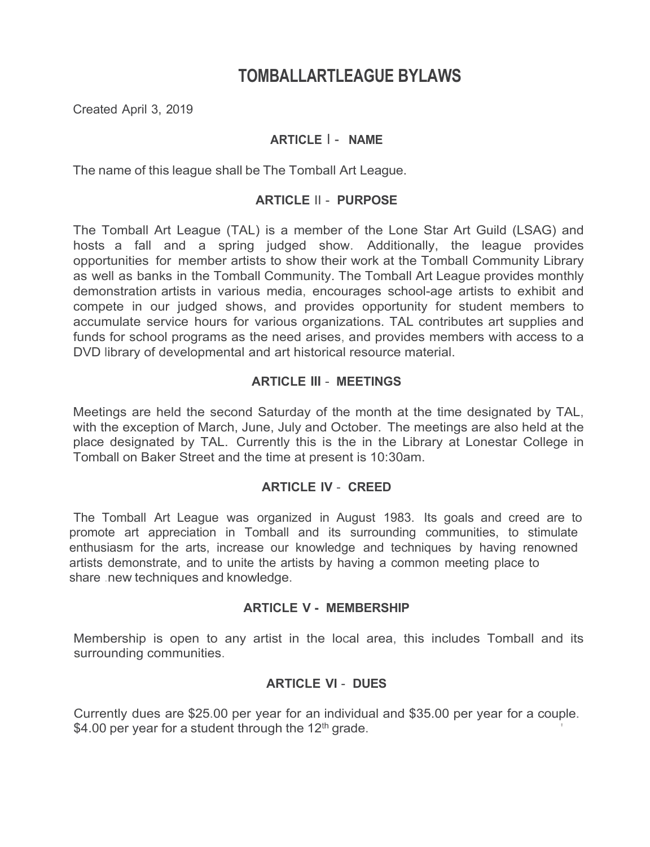# **TOMBALLARTLEAGUE BYLAWS**

Created April 3, 2019

# **ARTICLE** I - **NAME**

The name of this league shall be The Tomball Art League.

# **ARTICLE** II - **PURPOSE**

The Tomball Art League (TAL) is a member of the Lone Star Art Guild (LSAG) and hosts a fall and a spring judged show. Additionally, the league provides opportunities for member artists to show their work at the Tomball Community Library as well as banks in the Tomball Community. The Tomball Art League provides monthly demonstration artists in various media, encourages school-age artists to exhibit and compete in our judged shows, and provides opportunity for student members to accumulate service hours for various organizations. TAL contributes art supplies and funds for school programs as the need arises, and provides members with access to a DVD library of developmental and art historical resource material.

# **ARTICLE III** - **MEETINGS**

Meetings are held the second Saturday of the month at the time designated by TAL, with the exception of March, June, July and October. The meetings are also held at the place designated by TAL. Currently this is the in the Library at Lonestar College in Tomball on Baker Street and the time at present is 10:30am.

# **ARTICLE IV** - **CREED**

The Tomball Art League was organized in August 1983. Its goals and creed are to promote art appreciation in Tomball and its surrounding communities, to stimulate enthusiasm for the arts, increase our knowledge and techniques by having renowned artists demonstrate, and to unite the artists by having a common meeting place to share .new techniques and knowledge.

### **ARTICLE V - MEMBERSHIP**

Membership is open to any artist in the local area, this includes Tomball and its surrounding communities.

# **ARTICLE VI** - **DUES**

Currently dues are \$25.00 per year for an individual and \$35.00 per year for a couple. \$4.00 per year for a student through the  $12<sup>th</sup>$  grade.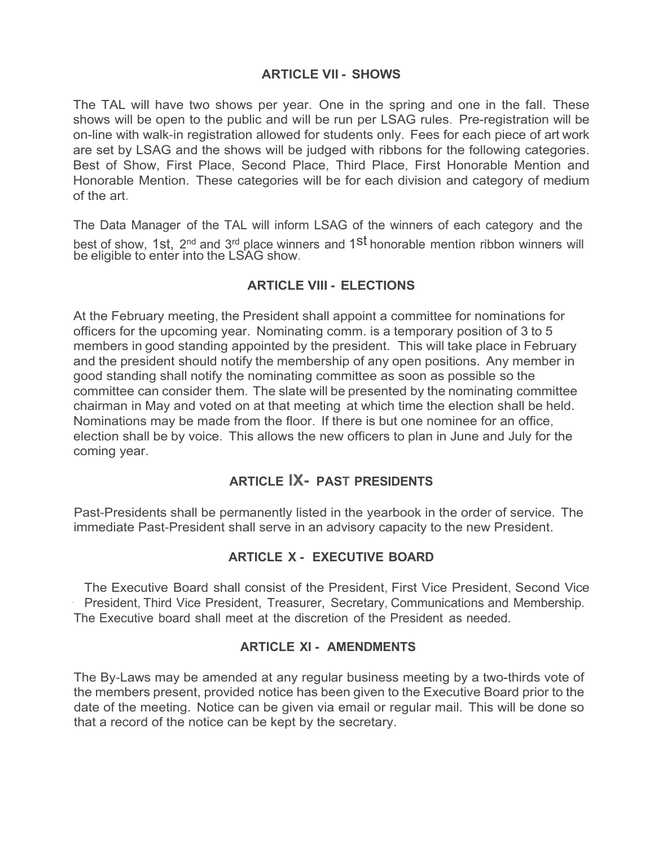# **ARTICLE VII - SHOWS**

The TAL will have two shows per year. One in the spring and one in the fall. These shows will be open to the public and will be run per LSAG rules. Pre-registration will be on-line with walk-in registration allowed for students only. Fees for each piece of art work are set by LSAG and the shows will be judged with ribbons for the following categories. Best of Show, First Place, Second Place, Third Place, First Honorable Mention and Honorable Mention. These categories will be for each division and category of medium of the art.

The Data Manager of the TAL will inform LSAG of the winners of each category and the best of show, 1st, 2<sup>nd</sup> and 3<sup>rd</sup> place winners and 1<sup>st</sup> honorable mention ribbon winners will be eligible to enter into the LSAG show.

# **ARTICLE VIII - ELECTIONS**

At the February meeting, the President shall appoint a committee for nominations for officers for the upcoming year. Nominating comm. is a temporary position of 3 to 5 members in good standing appointed by the president. This will take place in February and the president should notify the membership of any open positions. Any member in good standing shall notify the nominating committee as soon as possible so the committee can consider them. The slate will be presented by the nominating committee chairman in May and voted on at that meeting at which time the election shall be held. Nominations may be made from the floor. If there is but one nominee for an office, election shall be by voice. This allows the new officers to plan in June and July for the coming year.

# **ARTICLE lX- PAST PRESIDENTS**

Past-Presidents shall be permanently listed in the yearbook in the order of service. The immediate Past-President shall serve in an advisory capacity to the new President.

# **ARTICLE X - EXECUTIVE BOARD**

The Executive Board shall consist of the President, First Vice President, Second Vice President, Third Vice President, Treasurer, Secretary, Communications and Membership. The Executive board shall meet at the discretion of the President as needed.

# **ARTICLE XI - AMENDMENTS**

The By-Laws may be amended at any regular business meeting by a two-thirds vote of the members present, provided notice has been given to the Executive Board prior to the date of the meeting. Notice can be given via email or regular mail. This will be done so that a record of the notice can be kept by the secretary.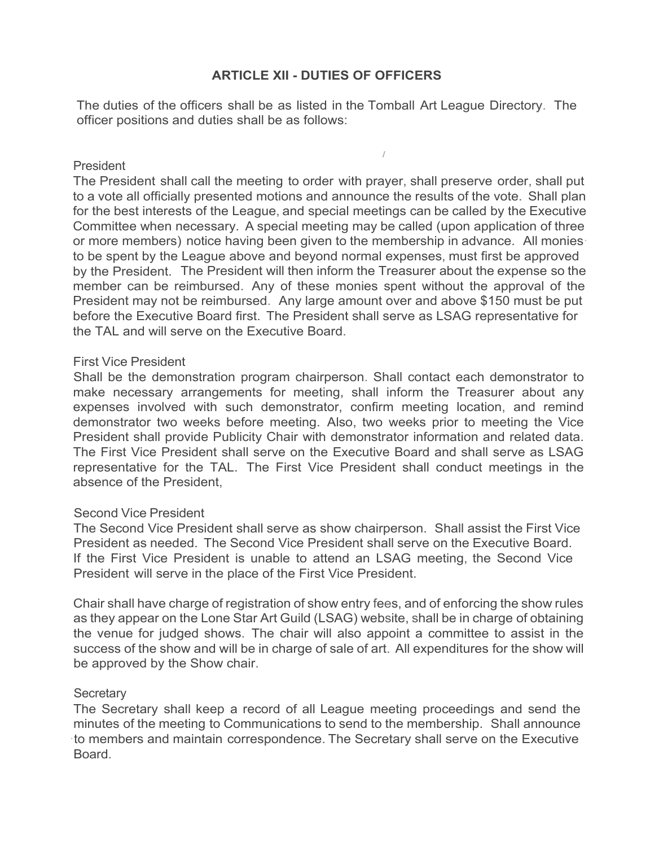# **ARTICLE XII - DUTIES OF OFFICERS**

The duties of the officers shall be as listed in the Tomball Art League Directory. The officer positions and duties shall be as follows:

*I*

### President

The President shall call the meeting to order with prayer, shall preserve order, shall put to a vote all officially presented motions and announce the results of the vote. Shall plan for the best interests of the League, and special meetings can be called by the Executive Committee when necessary. A special meeting may be called (upon application of three or more members) notice having been given to the membership in advance. All monies· to be spent by the League above and beyond normal expenses, must first be approved by the President. The President will then inform the Treasurer about the expense so the member can be reimbursed. Any of these monies spent without the approval of the President may not be reimbursed. Any large amount over and above \$150 must be put before the Executive Board first. The President shall serve as LSAG representative for the TAL and will serve on the Executive Board.

#### First Vice President

Shall be the demonstration program chairperson. Shall contact each demonstrator to make necessary arrangements for meeting, shall inform the Treasurer about any expenses involved with such demonstrator, confirm meeting location, and remind demonstrator two weeks before meeting. Also, two weeks prior to meeting the Vice President shall provide Publicity Chair with demonstrator information and related data. The First Vice President shall serve on the Executive Board and shall serve as LSAG representative for the TAL. The First Vice President shall conduct meetings in the absence of the President,

### Second Vice President

The Second Vice President shall serve as show chairperson. Shall assist the First Vice President as needed. The Second Vice President shall serve on the Executive Board. If the First Vice President is unable to attend an LSAG meeting, the Second Vice President will serve in the place of the First Vice President.

Chair shall have charge of registration of show entry fees, and of enforcing the show rules as they appear on the Lone Star Art Guild (LSAG) website, shall be in charge of obtaining the venue for judged shows. The chair will also appoint a committee to assist in the success of the show and will be in charge of sale of art. All expenditures for the show will be approved by the Show chair.

### **Secretary**

The Secretary shall keep a record of all League meeting proceedings and send the minutes of the meeting to Communications to send to the membership. Shall announce ·to members and maintain correspondence. The Secretary shall serve on the Executive Board.